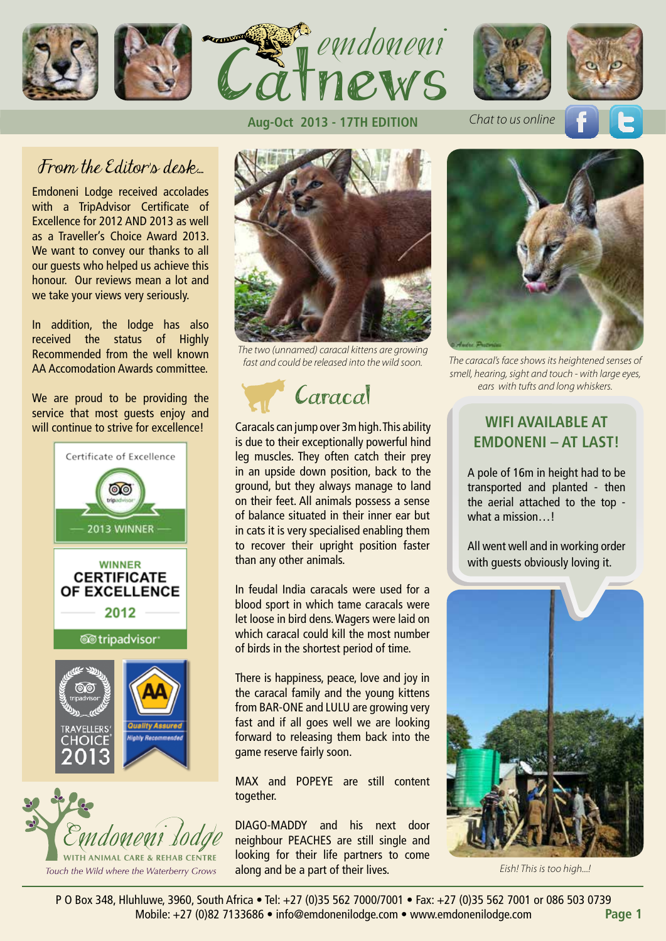







*Chat to us online*



### From the Editor's desk.

Emdoneni Lodge received accolades with a TripAdvisor Certificate of Excellence for 2012 AND 2013 as well as a Traveller's Choice Award 2013. We want to convey our thanks to all our guests who helped us achieve this honour. Our reviews mean a lot and we take your views very seriously.

In addition, the lodge has also received the status of Highly Recommended from the well known AA Accomodation Awards committee.

We are proud to be providing the service that most guests enjoy and will continue to strive for excellence!





#### **Aug-Oct 2013 - 17TH EDITION**



*The two (unnamed) caracal kittens are growing fast and could be released into the wild soon.*



Caracals can jump over 3m high. This ability is due to their exceptionally powerful hind leg muscles. They often catch their prey in an upside down position, back to the ground, but they always manage to land on their feet. All animals possess a sense of balance situated in their inner ear but in cats it is very specialised enabling them to recover their upright position faster than any other animals.

In feudal India caracals were used for a blood sport in which tame caracals were let loose in bird dens. Wagers were laid on which caracal could kill the most number of birds in the shortest period of time.

There is happiness, peace, love and joy in the caracal family and the young kittens from BAR-ONE and LULU are growing very fast and if all goes well we are looking forward to releasing them back into the game reserve fairly soon.

MAX and POPEYE are still content together.

DIAGO-MADDY and his next door neighbour PEACHES are still single and looking for their life partners to come along and be a part of their lives.



*The caracal's face shows its heightened senses of smell, hearing, sight and touch - with large eyes, ears with tufts and long whiskers.*

### **WIFI AVAILABLE AT EMDONENI – AT LAST!**

A pole of 16m in height had to be transported and planted - then the aerial attached to the top what a mission...!

All went well and in working order with quests obviously loving it.



*Eish! This is too high...!*

P O Box 348, Hluhluwe, 3960, South Africa • Tel: +27 (0)35 562 7000/7001 • Fax: +27 (0)35 562 7001 or 086 503 0739 Mobile: +27 (0)82 7133686 • info@emdonenilodge.com • www.emdonenilodge.com **Page 1**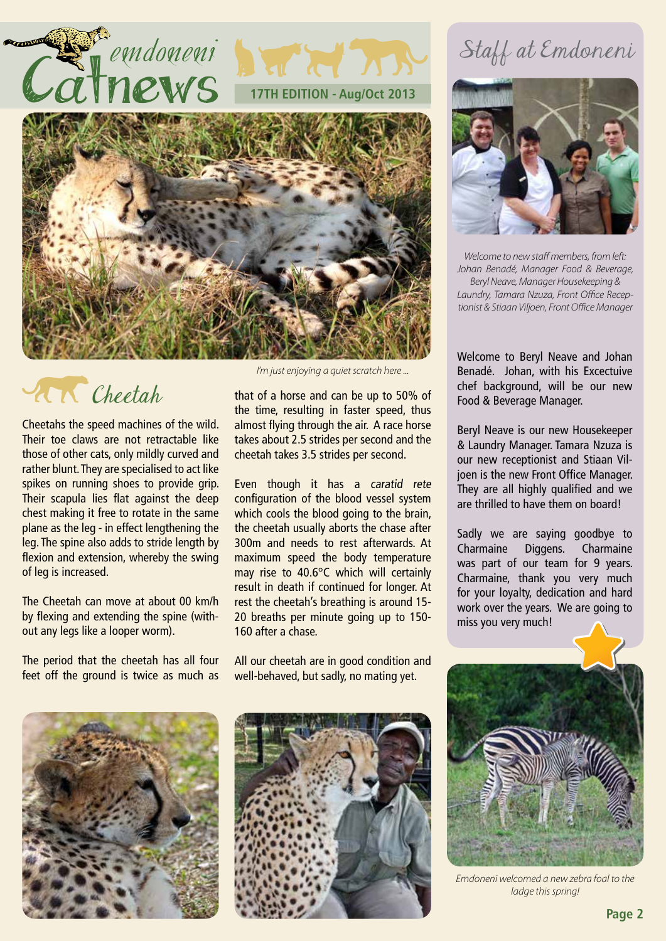

**17TH EDITION - Aug/Oct 2013** 



# **Cheetah**

Cheetahs the speed machines of the wild. Their toe claws are not retractable like those of other cats, only mildly curved and rather blunt. They are specialised to act like spikes on running shoes to provide grip. Their scapula lies flat against the deep chest making it free to rotate in the same plane as the leg - in effect lengthening the leg. The spine also adds to stride length by flexion and extension, whereby the swing of leg is increased.

The Cheetah can move at about 00 km/h by flexing and extending the spine (without any legs like a looper worm).

The period that the cheetah has all four feet off the ground is twice as much as

*I'm just enjoying a quiet scratch here ...*

that of a horse and can be up to 50% of the time, resulting in faster speed, thus almost flying through the air. A race horse takes about 2.5 strides per second and the cheetah takes 3.5 strides per second.

Even though it has a caratid rete configuration of the blood vessel system which cools the blood going to the brain, the cheetah usually aborts the chase after 300m and needs to rest afterwards. At maximum speed the body temperature may rise to 40.6°C which will certainly result in death if continued for longer. At rest the cheetah's breathing is around 15- 20 breaths per minute going up to 150- 160 after a chase.

All our cheetah are in good condition and well-behaved, but sadly, no mating yet.





## Staff at Emdoneni



*Welcome to new staff members, from left: Johan Benadé, Manager Food & Beverage, Beryl Neave, Manager Housekeeping & Laundry, Tamara Nzuza, Front Office Receptionist & Stiaan Viljoen, Front Office Manager*

Welcome to Beryl Neave and Johan Benadé. Johan, with his Excectuive chef background, will be our new Food & Beverage Manager.

Beryl Neave is our new Housekeeper & Laundry Manager. Tamara Nzuza is our new receptionist and Stiaan Viljoen is the new Front Office Manager. They are all highly qualified and we are thrilled to have them on board!

Sadly we are saying goodbye to Charmaine Diggens. Charmaine was part of our team for 9 years. Charmaine, thank you very much for your loyalty, dedication and hard work over the years. We are going to miss you very much!



*Emdoneni welcomed a new zebra foal to the ladge this spring!*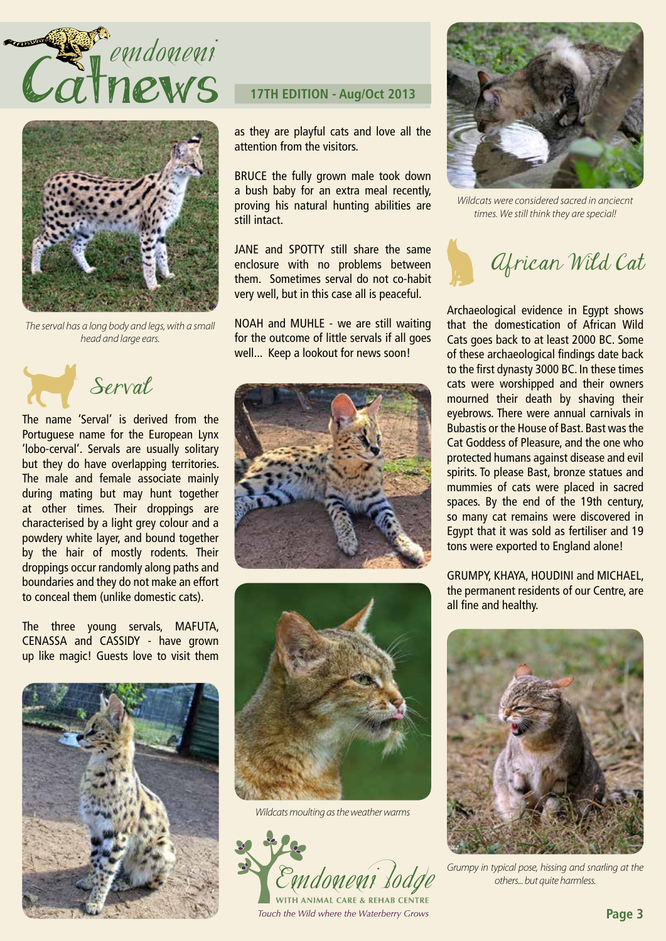



*The serval has a long body and legs, with a small head and large ears.*

Serval

The name 'Serval' is derived from the Portuguese name for the European Lynx 'lobo-cerval'. Servals are usually solitary but they do have overlapping territories. The male and female associate mainly during mating but may hunt together at other times. Their droppings are characterised by a light grey colour and a powdery white layer, and bound together by the hair of mostly rodents. Their droppings occur randomly along paths and boundaries and they do not make an effort to conceal them (unlike domestic cats).

The three young servals, MAFUTA, CENASSA and CASSIDY - have grown up like magic! Guests love to visit them



### **17TH EDITION - Aug/Oct 2013**

as they are playful cats and love all the attention from the visitors.

BRUCE the fully grown male took down a bush baby for an extra meal recently, proving his natural hunting abilities are still intact.

JANE and SPOTTY still share the same enclosure with no problems between them. Sometimes serval do not co-habit very well, but in this case all is peaceful.

NOAH and MUHLE - we are still waiting for the outcome of little servals if all goes well... Keep a lookout for news soon!





*Wildcats moulting as the weather warms*



Touch the Wild where the Waterberry Grows



*Wildcats were considered sacred in anciecnt times. We still think they are special!*



Archaeological evidence in Egypt shows that the domestication of African Wild Cats goes back to at least 2000 BC. Some of these archaeological findings date back to the first dynasty 3000 BC. In these times cats were worshipped and their owners mourned their death by shaving their eyebrows. There were annual carnivals in Bubastis or the House of Bast. Bast was the Cat Goddess of Pleasure, and the one who protected humans against disease and evil spirits. To please Bast, bronze statues and mummies of cats were placed in sacred spaces. By the end of the 19th century, so many cat remains were discovered in Egypt that it was sold as fertiliser and 19 tons were exported to England alone!

GRUMPY, KHAYA, HOUDINI and MICHAEL, the permanent residents of our Centre, are all fine and healthy.



*Grumpy in typical pose, hissing and snarling at the others... but quite harmless.*